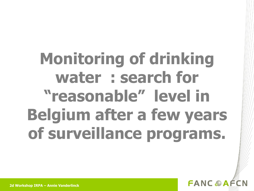# **Monitoring of drinking water : search for "reasonable" level in Belgium after a few years of surveillance programs.**

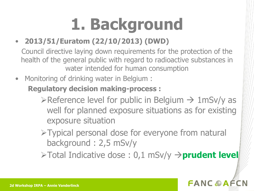# **1. Background**

#### • **2013/51/Euratom (22/10/2013) (DWD)**

Council directive laying down requirements for the protection of the health of the general public with regard to radioactive substances in water intended for human consumption

• Monitoring of drinking water in Belgium :

#### **Regulatory decision making-process :**

- $\triangleright$ Reference level for public in Belgium  $\rightarrow$  1mSv/y as well for planned exposure situations as for existing exposure situation
- Typical personal dose for everyone from natural background : 2,5 mSv/y

 $\triangleright$  Total Indicative dose : 0,1 mSv/y  $\rightarrow$  **prudent level** 

#### **FANCOAF**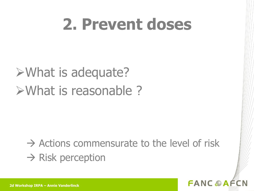### **2. Prevent doses**

### What is adequate? What is reasonable ?

### $\rightarrow$  Actions commensurate to the level of risk  $\rightarrow$  Risk perception

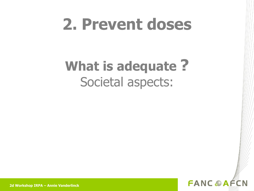### **2. Prevent doses**

### **What is adequate ?** Societal aspects:



**2d Workshop IRPA – Annie Vanderlinck**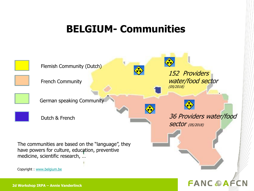#### **BELGIUM- Communities**

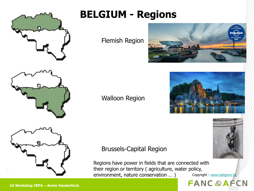

### **BELGIUM - Regions**

Flemish Region







#### Walloon Region

#### Brussels-Capital Region

Regions have power in fields that are connected with their region or territory ( agriculture, water policy, environment, nature conservation ... ) Copyright : [www.belgium.be](http://www.belgium.be/)

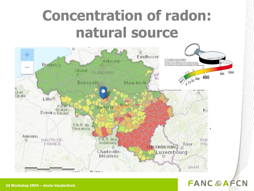### **Concentration of radon: natural source**



**FANC @AFCN**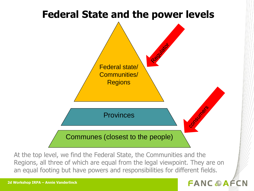

At the top level, we find the Federal State, the Communities and the Regions, all three of which are equal from the legal viewpoint. They are on an equal footing but have powers and responsibilities for different fields.

#### **FANC A AFCN**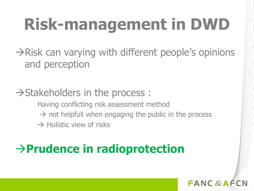# **Risk-management in DWD**

 $\rightarrow$ Risk can varying with different people's opinions and perception

### $\rightarrow$  Stakeholders in the process :

Having conflicting risk assessment method  $\rightarrow$  not helpfull when engaging the public in the process  $\rightarrow$  Holistic view of risks

### **Prudence in radioprotection**

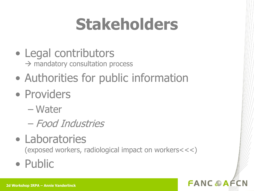# **Stakeholders**

- Legal contributors  $\rightarrow$  mandatory consultation process
- Authorities for public information
- Providers
	- Water
	- Food Industries
- Laboratories

(exposed workers, radiological impact on workers<<<)

**FANCOAF** 

• Public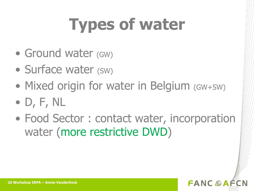# **Types of water**

- Ground water (GW)
- Surface water (SW)
- Mixed origin for water in Belgium (GW+SW)
- D, F, NL
- Food Sector : contact water, incorporation water (more restrictive DWD)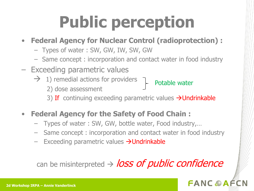# **Public perception**

#### • **Federal Agency for Nuclear Control (radioprotection) :**

- Types of water : SW, GW, IW, SW, GW
- Same concept : incorporation and contact water in food industry
- Exceeding parametric values
	- $\rightarrow$  1) remedial actions for providers
		- 2) dose assessment
		- 3) If continuing exceeding parametric values  $\rightarrow$  Undrinkable

Potable water

- **Federal Agency for the Safety of Food Chain :** 
	- Types of water : SW, GW, bottle water, Food industry,…
	- Same concept : incorporation and contact water in food industry
	- Exceeding parametric values  $\rightarrow$  Undrinkable

#### can be misinterpreted  $\rightarrow$  loss of public confidence

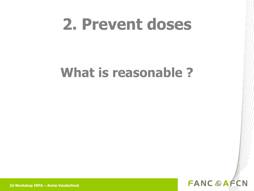### **2. Prevent doses**

### **What is reasonable ?**



**2d Workshop IRPA – Annie Vanderlinck**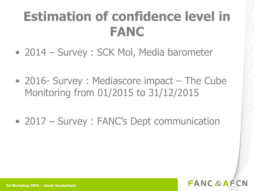### **Estimation of confidence level in FANC**

- 2014 Survey : SCK Mol, Media barometer
- 2016- Survey: Mediascore impact The Cube Monitoring from 01/2015 to 31/12/2015
- 2017 Survey: FANC's Dept communication

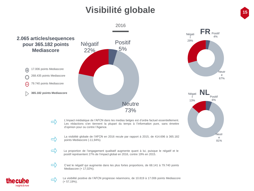#### **Visibilité globale <sup>15</sup>**



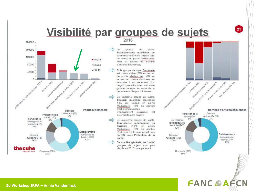### Visibilité par groupes de sujets



2016

Le groupe de suiets Etablissements nucléaires de base récolte 42% de l'impact total en temes de points Mediascore. 49% en temes de nombre d'articles/Séquences:

- Si le groupe de sujet Corporate est moins visible (23% en termes) de points Mediascore, 16% en termes de nombre d'articles), en revanche il est nettement plus négatif que n'importe quel autre groupe de sujet au cours de la période étudiée (audit interne);
	- Le troisième groupe de sujets, Sécurité nucléaire représente 14% de l'impact en points Mediascore, 15% en nombre d'artides/sequences.

L'engagement qualitative est essentiellement négatif.

- Le quatrième groupe de sujets, Surveillance radiologique du territoire (10% en points Mediascore, 12% en nombre d'artides) est le plus positif pour l'AFCN, avec Protection de la santé:
- De manière générale, les "petits" groupes de sujets sont plus visible en 2016 qu'auparavant.



**FANC OAFCN** 

21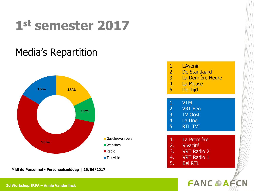### **1st semester 2017**

#### Media's Repartition



**Midi du Personnel - Personeelsmiddag | 26/06/2017**

| 1.<br>2.<br>3.<br>4.<br>5. | <b>L'Avenir</b><br>De Standaard<br><b>La Dernière Heure</b><br>La Meuse<br>De Tijd |  |
|----------------------------|------------------------------------------------------------------------------------|--|
| 1.<br>2.<br>4.<br>5.       | <b>VTM</b><br><b>VRT Eén</b><br>3. TV Oost<br><b>La Une</b><br><b>RTL TVI</b>      |  |
| 1.<br>2.<br>5.             | La Première<br>Vivacité<br>3. VRT Radio 2<br>4. VRT Radio 1<br><b>Bel RTL</b>      |  |

#### **FANC OAFCN**

**2d Workshop IRPA – Annie Vanderlinck**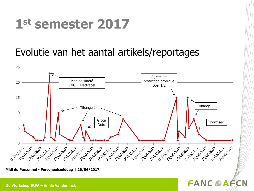### **1st semester 2017**

#### Evolutie van het aantal artikels/reportages



**FANC OAFCN** 

**Midi du Personnel - Personeelsmiddag | 26/06/2017**

#### **2d Workshop IRPA – Annie Vanderlinck**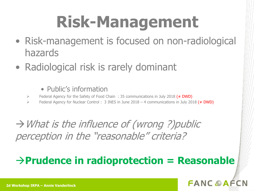# **Risk-Management**

- Risk-management is focused on non-radiological hazards
- Radiological risk is rarely dominant
	- Public's information
	- Federal Agency for the Safety of Food Chain: 35 communications in July 2018 ( $\neq$  DWD)
	- Federal Agency for Nuclear Control : 3 INES in June 2018 4 communications in July 2018 ( $\neq$  DWD)

 $\rightarrow$  What is the influence of (wrong ?) public perception in the "reasonable" criteria?

#### **Prudence in radioprotection = Reasonable**

#### **FANCAAF**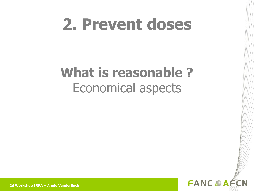### **2. Prevent doses**

### **What is reasonable ?** Economical aspects



**2d Workshop IRPA – Annie Vanderlinck**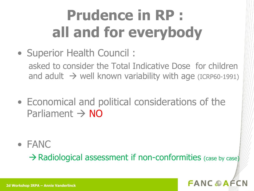## **Prudence in RP : all and for everybody**

• Superior Health Council :

asked to consider the Total Indicative Dose for children and adult  $\rightarrow$  well known variability with age (ICRP60-1991)

• Economical and political considerations of the Parliament  $\rightarrow$  NO

• FANC

 $\rightarrow$  Radiological assessment if non-conformities (case by case)

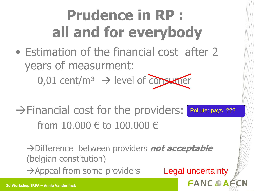### **Prudence in RP : all and for everybody**

- Estimation of the financial cost after 2 years of measurment:  $0.01$  cent/m<sup>3</sup>  $\rightarrow$  level of consumer
- $\rightarrow$  Financial cost for the providers: from 10.000 € to 100.000 € Polluter pays ???

Difference between providers **not acceptable**  (belgian constitution)  $\rightarrow$  Appeal from some providers Legal uncertainty

**FANCOAF**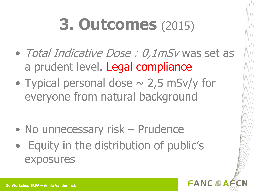# **3. Outcomes** (2015)

- Total Indicative Dose : 0,1mSv was set as a prudent level. Legal compliance
- Typical personal dose  $\sim$  2,5 mSv/y for everyone from natural background

- No unnecessary risk Prudence
- Equity in the distribution of public's exposures

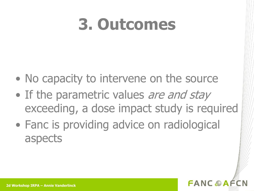### **3. Outcomes**

- No capacity to intervene on the source
- If the parametric values are and stay exceeding, a dose impact study is required
- Fanc is providing advice on radiological aspects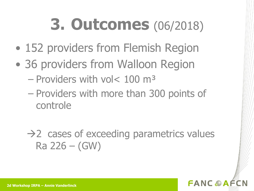### **3. Outcomes** (06/2018)

- 152 providers from Flemish Region
- 36 providers from Walloon Region
	- Providers with vol< 100 m³
	- Providers with more than 300 points of controle

 $\rightarrow$  2 cases of exceeding parametrics values Ra 226 – (GW)

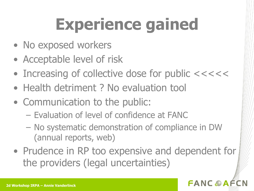# **Experience gained**

- No exposed workers
- Acceptable level of risk
- Increasing of collective dose for public <<<<<
- Health detriment ? No evaluation tool
- Communication to the public:
	- Evaluation of level of confidence at FANC
	- No systematic demonstration of compliance in DW (annual reports, web)
- Prudence in RP too expensive and dependent for the providers (legal uncertainties)

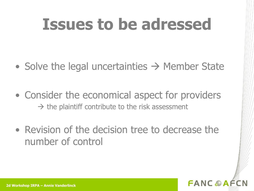### **Issues to be adressed**

- Solve the legal uncertainties  $\rightarrow$  Member State
- Consider the economical aspect for providers  $\rightarrow$  the plaintiff contribute to the risk assessment
- Revision of the decision tree to decrease the number of control

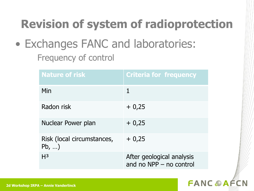### **Revision of system of radioprotection**

• Exchanges FANC and laboratories: Frequency of control

| <b>Nature of risk</b>                      | <b>Criteria for frequency</b>                          |
|--------------------------------------------|--------------------------------------------------------|
| Min                                        | 1                                                      |
| Radon risk                                 | $+0,25$                                                |
| Nuclear Power plan                         | $+0,25$                                                |
| Risk (local circumstances,<br>$Pb, \ldots$ | $+0,25$                                                |
| H <sup>3</sup>                             | After geological analysis<br>and no $NPP$ – no control |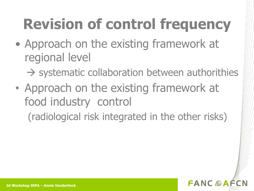## **Revision of control frequency**

• Approach on the existing framework at regional level

 $\rightarrow$  systematic collaboration between authorithies

• Approach on the existing framework at food industry control

(radiological risk integrated in the other risks)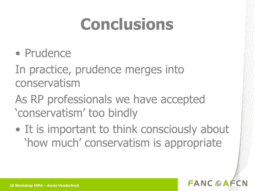# **Conclusions**

• Prudence

In practice, prudence merges into conservatism

As RP professionals we have accepted 'conservatism' too bindly

• It is important to think consciously about 'how much' conservatism is appropriate